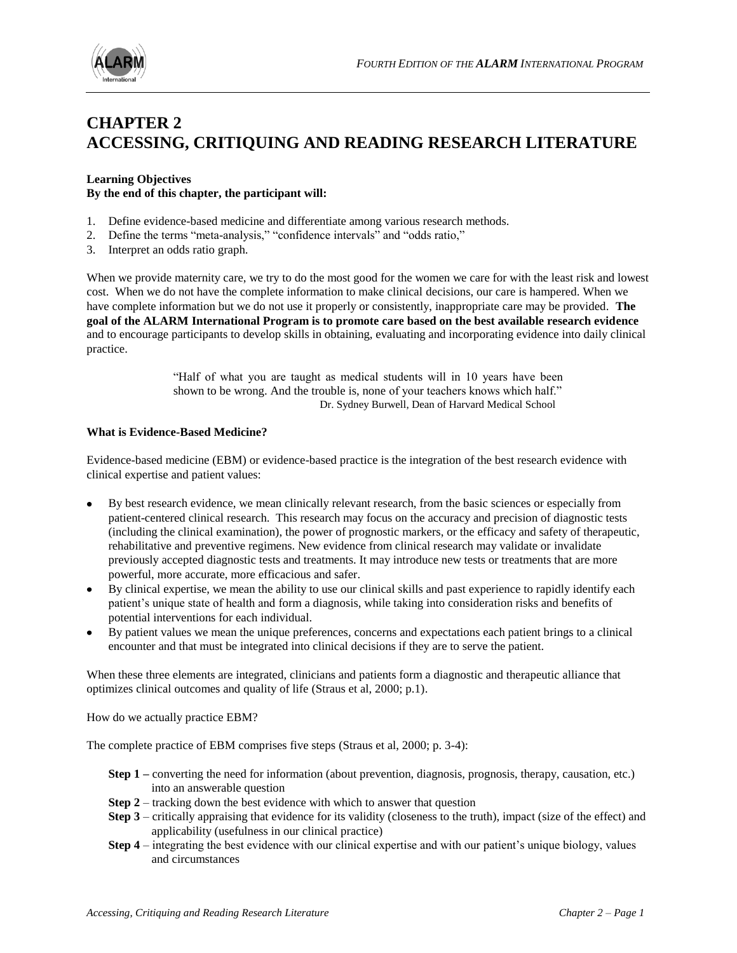

# **CHAPTER 2 ACCESSING, CRITIQUING AND READING RESEARCH LITERATURE**

# **Learning Objectives By the end of this chapter, the participant will:**

- 1. Define evidence-based medicine and differentiate among various research methods.
- 2. Define the terms "meta-analysis," "confidence intervals" and "odds ratio,"
- 3. Interpret an odds ratio graph.

When we provide maternity care, we try to do the most good for the women we care for with the least risk and lowest cost. When we do not have the complete information to make clinical decisions, our care is hampered. When we have complete information but we do not use it properly or consistently, inappropriate care may be provided. **The goal of the ALARM International Program is to promote care based on the best available research evidence** and to encourage participants to develop skills in obtaining, evaluating and incorporating evidence into daily clinical practice.

> "Half of what you are taught as medical students will in 10 years have been shown to be wrong. And the trouble is, none of your teachers knows which half." Dr. Sydney Burwell, Dean of Harvard Medical School

#### **What is Evidence-Based Medicine?**

Evidence-based medicine (EBM) or evidence-based practice is the integration of the best research evidence with clinical expertise and patient values:

- By best research evidence, we mean clinically relevant research, from the basic sciences or especially from patient-centered clinical research. This research may focus on the accuracy and precision of diagnostic tests (including the clinical examination), the power of prognostic markers, or the efficacy and safety of therapeutic, rehabilitative and preventive regimens. New evidence from clinical research may validate or invalidate previously accepted diagnostic tests and treatments. It may introduce new tests or treatments that are more powerful, more accurate, more efficacious and safer.
- By clinical expertise, we mean the ability to use our clinical skills and past experience to rapidly identify each patient"s unique state of health and form a diagnosis, while taking into consideration risks and benefits of potential interventions for each individual.
- By patient values we mean the unique preferences, concerns and expectations each patient brings to a clinical encounter and that must be integrated into clinical decisions if they are to serve the patient.

When these three elements are integrated, clinicians and patients form a diagnostic and therapeutic alliance that optimizes clinical outcomes and quality of life (Straus et al, 2000; p.1).

How do we actually practice EBM?

The complete practice of EBM comprises five steps (Straus et al, 2000; p. 3-4):

- **Step 1** converting the need for information (about prevention, diagnosis, prognosis, therapy, causation, etc.) into an answerable question
- **Step 2** tracking down the best evidence with which to answer that question
- **Step 3** critically appraising that evidence for its validity (closeness to the truth), impact (size of the effect) and applicability (usefulness in our clinical practice)
- **Step 4** integrating the best evidence with our clinical expertise and with our patient's unique biology, values and circumstances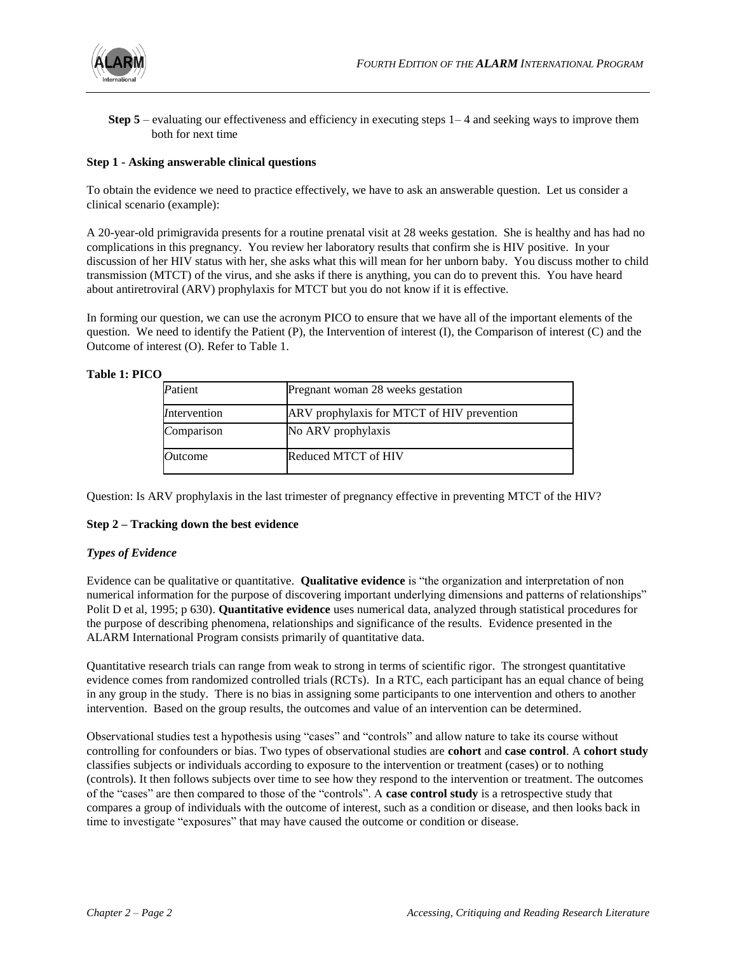

**Step 5** – evaluating our effectiveness and efficiency in executing steps 1–4 and seeking ways to improve them both for next time

# **Step 1 - Asking answerable clinical questions**

To obtain the evidence we need to practice effectively, we have to ask an answerable question. Let us consider a clinical scenario (example):

A 20-year-old primigravida presents for a routine prenatal visit at 28 weeks gestation. She is healthy and has had no complications in this pregnancy. You review her laboratory results that confirm she is HIV positive. In your discussion of her HIV status with her, she asks what this will mean for her unborn baby. You discuss mother to child transmission (MTCT) of the virus, and she asks if there is anything, you can do to prevent this. You have heard about antiretroviral (ARV) prophylaxis for MTCT but you do not know if it is effective.

In forming our question, we can use the acronym PICO to ensure that we have all of the important elements of the question. We need to identify the Patient (P), the Intervention of interest (I), the Comparison of interest (C) and the Outcome of interest (O). Refer to Table 1.

**Table 1: PICO**

| Patient      | Pregnant woman 28 weeks gestation          |  |
|--------------|--------------------------------------------|--|
| Intervention | ARV prophylaxis for MTCT of HIV prevention |  |
| Comparison   | No ARV prophylaxis                         |  |
| Outcome      | Reduced MTCT of HIV                        |  |

Question: Is ARV prophylaxis in the last trimester of pregnancy effective in preventing MTCT of the HIV?

# **Step 2 – Tracking down the best evidence**

#### *Types of Evidence*

Evidence can be qualitative or quantitative. **Qualitative evidence** is "the organization and interpretation of non numerical information for the purpose of discovering important underlying dimensions and patterns of relationships" Polit D et al, 1995; p 630). **Quantitative evidence** uses numerical data, analyzed through statistical procedures for the purpose of describing phenomena, relationships and significance of the results. Evidence presented in the ALARM International Program consists primarily of quantitative data.

Quantitative research trials can range from weak to strong in terms of scientific rigor. The strongest quantitative evidence comes from randomized controlled trials (RCTs). In a RTC, each participant has an equal chance of being in any group in the study. There is no bias in assigning some participants to one intervention and others to another intervention. Based on the group results, the outcomes and value of an intervention can be determined.

Observational studies test a hypothesis using "cases" and "controls" and allow nature to take its course without controlling for confounders or bias. Two types of observational studies are **cohort** and **case control**. A **cohort study** classifies subjects or individuals according to exposure to the intervention or treatment (cases) or to nothing (controls). It then follows subjects over time to see how they respond to the intervention or treatment. The outcomes of the "cases" are then compared to those of the "controls". A **case control study** is a retrospective study that compares a group of individuals with the outcome of interest, such as a condition or disease, and then looks back in time to investigate "exposures" that may have caused the outcome or condition or disease.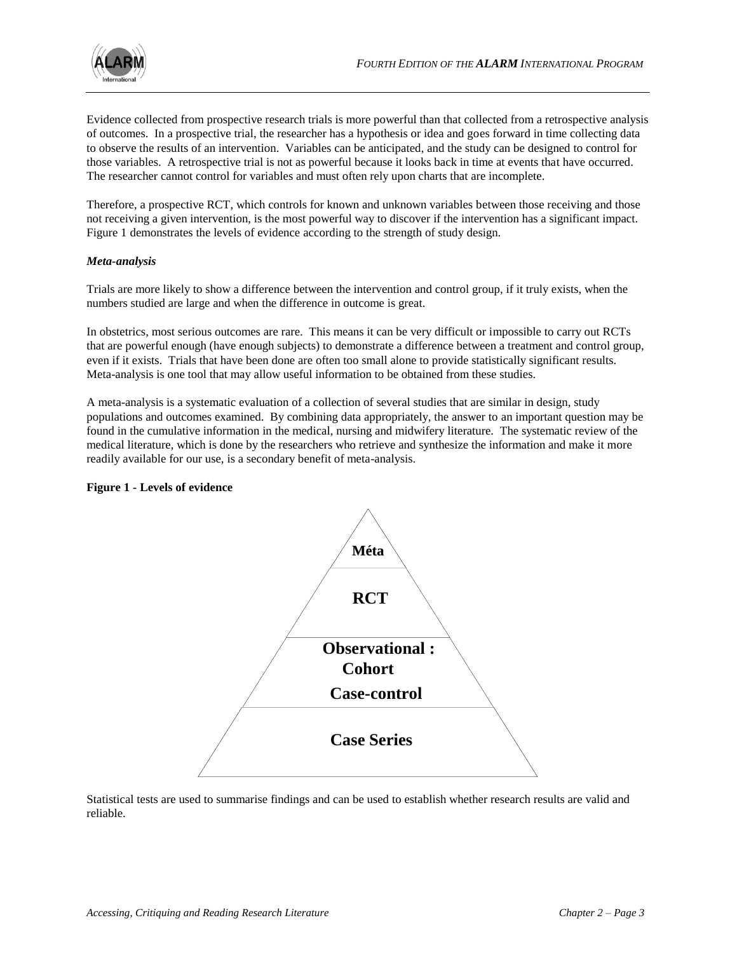

Evidence collected from prospective research trials is more powerful than that collected from a retrospective analysis of outcomes. In a prospective trial, the researcher has a hypothesis or idea and goes forward in time collecting data to observe the results of an intervention. Variables can be anticipated, and the study can be designed to control for those variables. A retrospective trial is not as powerful because it looks back in time at events that have occurred. The researcher cannot control for variables and must often rely upon charts that are incomplete.

Therefore, a prospective RCT, which controls for known and unknown variables between those receiving and those not receiving a given intervention, is the most powerful way to discover if the intervention has a significant impact. Figure 1 demonstrates the levels of evidence according to the strength of study design.

# *Meta-analysis*

Trials are more likely to show a difference between the intervention and control group, if it truly exists, when the numbers studied are large and when the difference in outcome is great.

In obstetrics, most serious outcomes are rare. This means it can be very difficult or impossible to carry out RCTs that are powerful enough (have enough subjects) to demonstrate a difference between a treatment and control group, even if it exists. Trials that have been done are often too small alone to provide statistically significant results. Meta-analysis is one tool that may allow useful information to be obtained from these studies.

A meta-analysis is a systematic evaluation of a collection of several studies that are similar in design, study populations and outcomes examined. By combining data appropriately, the answer to an important question may be found in the cumulative information in the medical, nursing and midwifery literature. The systematic review of the medical literature, which is done by the researchers who retrieve and synthesize the information and make it more readily available for our use, is a secondary benefit of meta-analysis.

# **Figure 1 - Levels of evidence**



Statistical tests are used to summarise findings and can be used to establish whether research results are valid and reliable.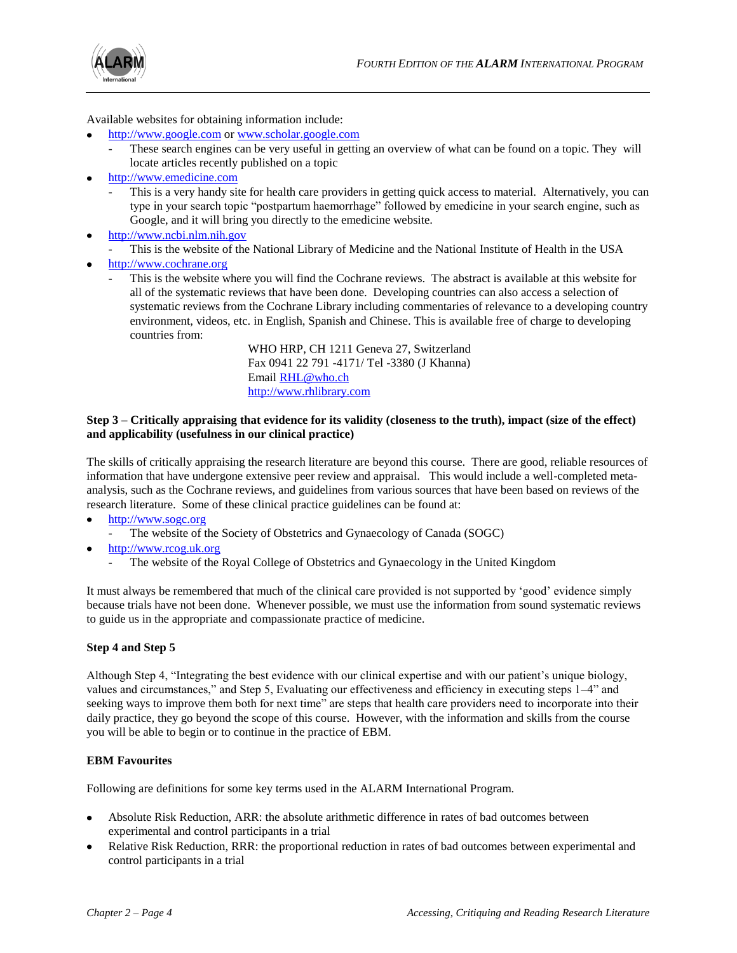

Available websites for obtaining information include:

- [http://www.google.com](http://www.google.com/) or [www.scholar.google.com](http://www.scholar.google.com/)
	- These search engines can be very useful in getting an overview of what can be found on a topic. They will locate articles recently published on a topic
- [http://www.emedicine.com](http://www.emedicine.com/)
	- This is a very handy site for health care providers in getting quick access to material. Alternatively, you can type in your search topic "postpartum haemorrhage" followed by emedicine in your search engine, such as Google, and it will bring you directly to the emedicine website.
- [http://www.ncbi.nlm.nih.gov](http://www.ncbi.nlm.nih.gov/)
- This is the website of the National Library of Medicine and the National Institute of Health in the USA
- [http://www.cochrane.org](http://www.cochrane.org/)
	- This is the website where you will find the Cochrane reviews. The abstract is available at this website for all of the systematic reviews that have been done. Developing countries can also access a selection of systematic reviews from the Cochrane Library including commentaries of relevance to a developing country environment, videos, etc. in English, Spanish and Chinese. This is available free of charge to developing countries from:

WHO HRP, CH 1211 Geneva 27, Switzerland Fax 0941 22 791 -4171/ Tel -3380 (J Khanna) Email [RHL@who.ch](mailto:RHL@who.ch) [http://www.rhlibrary.com](http://www.rhlibrary.com/)

#### **Step 3 – Critically appraising that evidence for its validity (closeness to the truth), impact (size of the effect) and applicability (usefulness in our clinical practice)**

The skills of critically appraising the research literature are beyond this course. There are good, reliable resources of information that have undergone extensive peer review and appraisal. This would include a well-completed metaanalysis, such as the Cochrane reviews, and guidelines from various sources that have been based on reviews of the research literature. Some of these clinical practice guidelines can be found at:

- [http://www.sogc.org](http://www.sogc.org/)
- The website of the Society of Obstetrics and Gynaecology of Canada (SOGC)
- [http://www.rcog.uk.org](http://www.rcog.uk.org/)
	- The website of the Royal College of Obstetrics and Gynaecology in the United Kingdom

It must always be remembered that much of the clinical care provided is not supported by "good" evidence simply because trials have not been done. Whenever possible, we must use the information from sound systematic reviews to guide us in the appropriate and compassionate practice of medicine.

# **Step 4 and Step 5**

Although Step 4, "Integrating the best evidence with our clinical expertise and with our patient"s unique biology, values and circumstances," and Step 5, Evaluating our effectiveness and efficiency in executing steps 1–4" and seeking ways to improve them both for next time" are steps that health care providers need to incorporate into their daily practice, they go beyond the scope of this course. However, with the information and skills from the course you will be able to begin or to continue in the practice of EBM.

# **EBM Favourites**

Following are definitions for some key terms used in the ALARM International Program.

- Absolute Risk Reduction, ARR: the absolute arithmetic difference in rates of bad outcomes between experimental and control participants in a trial
- Relative Risk Reduction, RRR: the proportional reduction in rates of bad outcomes between experimental and control participants in a trial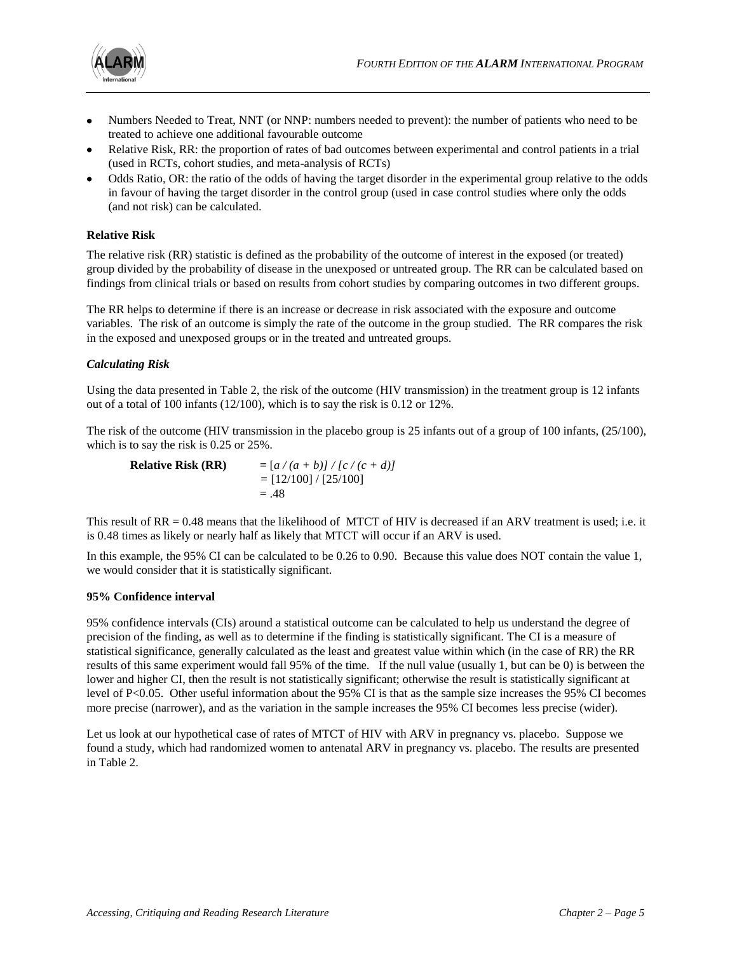

- Numbers Needed to Treat, NNT (or NNP: numbers needed to prevent): the number of patients who need to be treated to achieve one additional favourable outcome
- Relative Risk, RR: the proportion of rates of bad outcomes between experimental and control patients in a trial (used in RCTs, cohort studies, and meta-analysis of RCTs)
- Odds Ratio, OR: the ratio of the odds of having the target disorder in the experimental group relative to the odds in favour of having the target disorder in the control group (used in case control studies where only the odds (and not risk) can be calculated.

# **Relative Risk**

The relative risk (RR) statistic is defined as the probability of the outcome of interest in the exposed (or treated) group divided by the probability of disease in the unexposed or untreated group. The RR can be calculated based on findings from clinical trials or based on results from cohort studies by comparing outcomes in two different groups.

The RR helps to determine if there is an increase or decrease in risk associated with the exposure and outcome variables. The risk of an outcome is simply the rate of the outcome in the group studied. The RR compares the risk in the exposed and unexposed groups or in the treated and untreated groups.

# *Calculating Risk*

Using the data presented in Table 2, the risk of the outcome (HIV transmission) in the treatment group is 12 infants out of a total of 100 infants (12/100), which is to say the risk is 0.12 or 12%.

The risk of the outcome (HIV transmission in the placebo group is 25 infants out of a group of 100 infants, (25/100), which is to say the risk is 0.25 or 25%.

| <b>Relative Risk (RR)</b> | $= [a/(a+b)]/[c/(c+d)]$ |
|---------------------------|-------------------------|
|                           | $= [12/100] / [25/100]$ |
|                           | $=.48$                  |

This result of RR = 0.48 means that the likelihood of MTCT of HIV is decreased if an ARV treatment is used; i.e. it is 0.48 times as likely or nearly half as likely that MTCT will occur if an ARV is used.

In this example, the 95% CI can be calculated to be 0.26 to 0.90. Because this value does NOT contain the value 1, we would consider that it is statistically significant.

# **95% Confidence interval**

95% confidence intervals (CIs) around a statistical outcome can be calculated to help us understand the degree of precision of the finding, as well as to determine if the finding is statistically significant. The CI is a measure of statistical significance, generally calculated as the least and greatest value within which (in the case of RR) the RR results of this same experiment would fall 95% of the time. If the null value (usually 1, but can be 0) is between the lower and higher CI, then the result is not statistically significant; otherwise the result is statistically significant at level of P<0.05. Other useful information about the 95% CI is that as the sample size increases the 95% CI becomes more precise (narrower), and as the variation in the sample increases the 95% CI becomes less precise (wider).

Let us look at our hypothetical case of rates of MTCT of HIV with ARV in pregnancy vs. placebo. Suppose we found a study, which had randomized women to antenatal ARV in pregnancy vs. placebo. The results are presented in Table 2.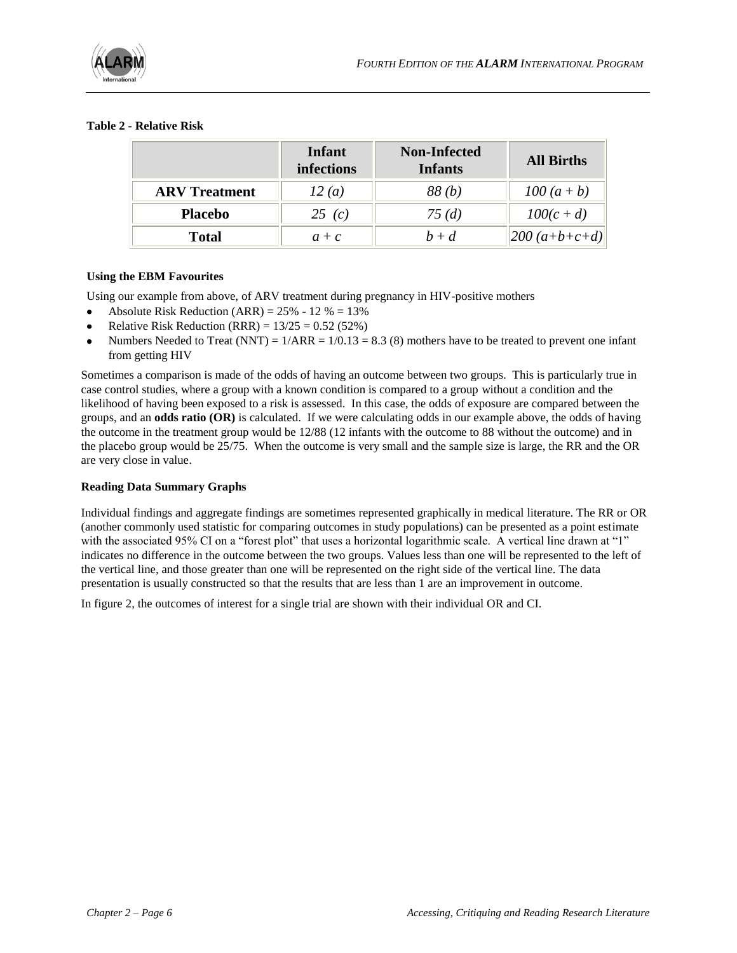

# **Table 2 - Relative Risk**

|                      | <b>Infant</b><br>infections | <b>Non-Infected</b><br><b>Infants</b> | <b>All Births</b> |
|----------------------|-----------------------------|---------------------------------------|-------------------|
| <b>ARV</b> Treatment | 12(a)                       | 88(b)                                 | $100(a + b)$      |
| <b>Placebo</b>       | 25(c)                       | 75(d)                                 | $100(c+d)$        |
| <b>Total</b>         | $a + c$                     | $b + d$                               | $ 200 (a+b+c+d) $ |

# **Using the EBM Favourites**

Using our example from above, of ARV treatment during pregnancy in HIV-positive mothers

- Absolute Risk Reduction  $(ARR) = 25\% 12\% = 13\%$
- Relative Risk Reduction (RRR) =  $13/25 = 0.52$  (52%)
- Numbers Needed to Treat (NNT) =  $1/ARR = 1/0.13 = 8.3$  (8) mothers have to be treated to prevent one infant from getting HIV

Sometimes a comparison is made of the odds of having an outcome between two groups. This is particularly true in case control studies, where a group with a known condition is compared to a group without a condition and the likelihood of having been exposed to a risk is assessed. In this case, the odds of exposure are compared between the groups, and an **odds ratio (OR)** is calculated. If we were calculating odds in our example above, the odds of having the outcome in the treatment group would be 12/88 (12 infants with the outcome to 88 without the outcome) and in the placebo group would be 25/75. When the outcome is very small and the sample size is large, the RR and the OR are very close in value.

# **Reading Data Summary Graphs**

Individual findings and aggregate findings are sometimes represented graphically in medical literature. The RR or OR (another commonly used statistic for comparing outcomes in study populations) can be presented as a point estimate with the associated 95% CI on a "forest plot" that uses a horizontal logarithmic scale. A vertical line drawn at "1" indicates no difference in the outcome between the two groups. Values less than one will be represented to the left of the vertical line, and those greater than one will be represented on the right side of the vertical line. The data presentation is usually constructed so that the results that are less than 1 are an improvement in outcome.

In figure 2, the outcomes of interest for a single trial are shown with their individual OR and CI.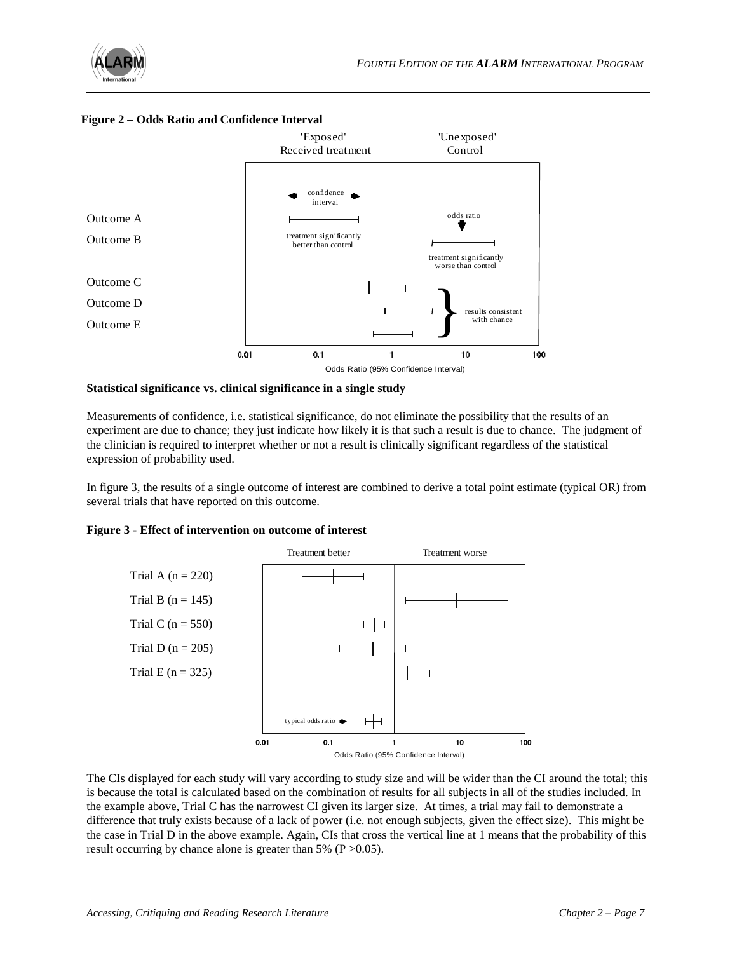



# **Figure 2 – Odds Ratio and Confidence Interval**

#### **Statistical significance vs. clinical significance in a single study**

Measurements of confidence, i.e. statistical significance, do not eliminate the possibility that the results of an experiment are due to chance; they just indicate how likely it is that such a result is due to chance. The judgment of the clinician is required to interpret whether or not a result is clinically significant regardless of the statistical expression of probability used.

In figure 3, the results of a single outcome of interest are combined to derive a total point estimate (typical OR) from several trials that have reported on this outcome.

# **Figure 3 - Effect of intervention on outcome of interest**



The CIs displayed for each study will vary according to study size and will be wider than the CI around the total; this is because the total is calculated based on the combination of results for all subjects in all of the studies included. In the example above, Trial C has the narrowest CI given its larger size. At times, a trial may fail to demonstrate a difference that truly exists because of a lack of power (i.e. not enough subjects, given the effect size). This might be the case in Trial D in the above example. Again, CIs that cross the vertical line at 1 means that the probability of this result occurring by chance alone is greater than 5% ( $P > 0.05$ ).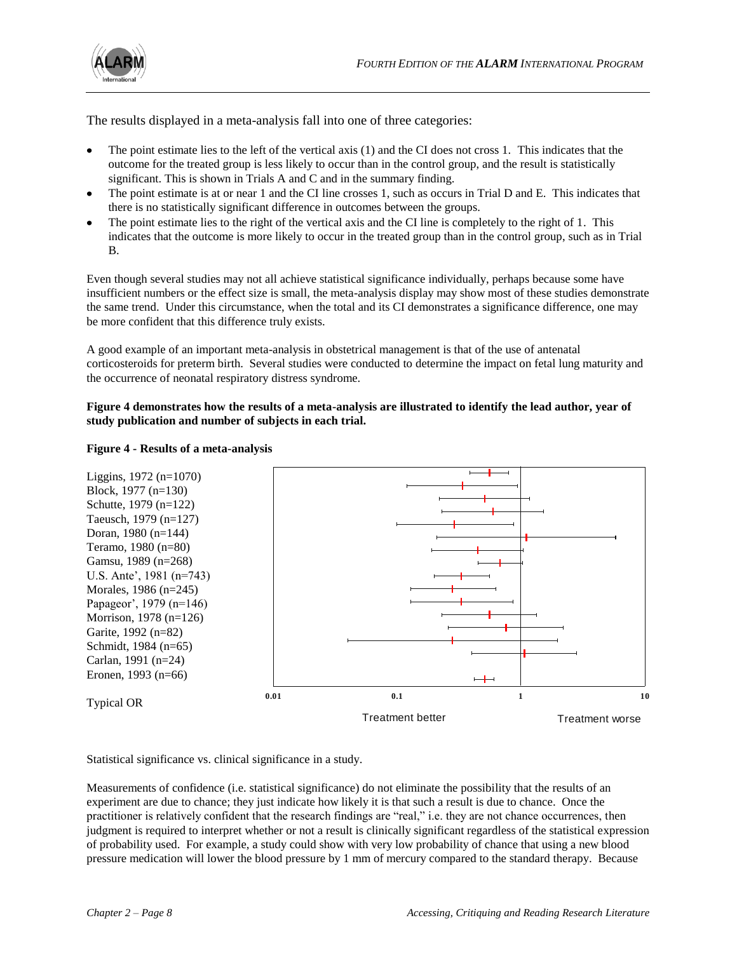

The results displayed in a meta-analysis fall into one of three categories:

- The point estimate lies to the left of the vertical axis (1) and the CI does not cross 1. This indicates that the outcome for the treated group is less likely to occur than in the control group, and the result is statistically significant. This is shown in Trials A and C and in the summary finding.
- The point estimate is at or near 1 and the CI line crosses 1, such as occurs in Trial D and E. This indicates that there is no statistically significant difference in outcomes between the groups.
- The point estimate lies to the right of the vertical axis and the CI line is completely to the right of 1. This indicates that the outcome is more likely to occur in the treated group than in the control group, such as in Trial B.

Even though several studies may not all achieve statistical significance individually, perhaps because some have insufficient numbers or the effect size is small, the meta-analysis display may show most of these studies demonstrate the same trend. Under this circumstance, when the total and its CI demonstrates a significance difference, one may be more confident that this difference truly exists.

A good example of an important meta-analysis in obstetrical management is that of the use of antenatal corticosteroids for preterm birth. Several studies were conducted to determine the impact on fetal lung maturity and the occurrence of neonatal respiratory distress syndrome.

# **Figure 4 demonstrates how the results of a meta-analysis are illustrated to identify the lead author, year of study publication and number of subjects in each trial.**

# Liggins, 1972 (n=1070) Block, 1977 (n=130) Schutte, 1979 (n=122) Taeusch, 1979 (n=127) Doran, 1980 (n=144) Teramo, 1980 (n=80) Gamsu, 1989 (n=268) U.S. Ante', 1981 (n=743) Morales, 1986 (n=245) Papageor', 1979 (n=146) Morrison, 1978 (n=126) Garite, 1992 (n=82) Schmidt, 1984 (n=65) Carlan, 1991 (n=24) Eronen, 1993 (n=66) Typical OR **0.01 0.1 <sup>1</sup> 1 0** Treatment better Treatment worse

# **Figure 4 - Results of a meta-analysis**

Statistical significance vs. clinical significance in a study.

Measurements of confidence (i.e. statistical significance) do not eliminate the possibility that the results of an experiment are due to chance; they just indicate how likely it is that such a result is due to chance. Once the practitioner is relatively confident that the research findings are "real," i.e. they are not chance occurrences, then judgment is required to interpret whether or not a result is clinically significant regardless of the statistical expression of probability used. For example, a study could show with very low probability of chance that using a new blood pressure medication will lower the blood pressure by 1 mm of mercury compared to the standard therapy. Because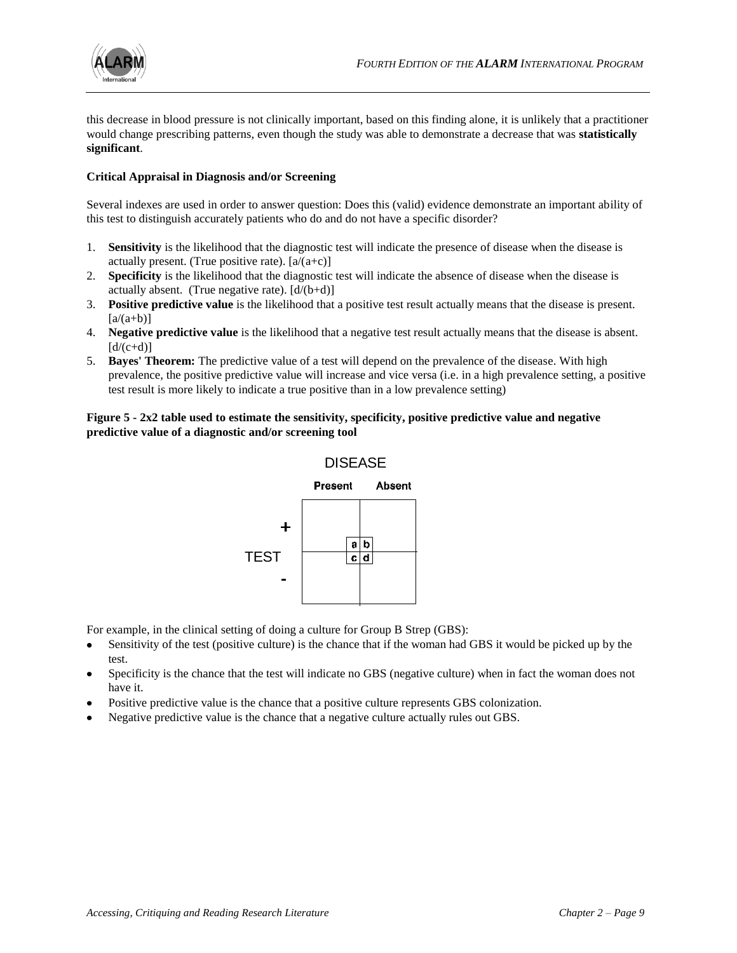

this decrease in blood pressure is not clinically important, based on this finding alone, it is unlikely that a practitioner would change prescribing patterns, even though the study was able to demonstrate a decrease that was **statistically significant**.

# **Critical Appraisal in Diagnosis and/or Screening**

Several indexes are used in order to answer question: Does this (valid) evidence demonstrate an important ability of this test to distinguish accurately patients who do and do not have a specific disorder?

- 1. **Sensitivity** is the likelihood that the diagnostic test will indicate the presence of disease when the disease is actually present. (True positive rate).  $[a/(a+c)]$
- 2. **Specificity** is the likelihood that the diagnostic test will indicate the absence of disease when the disease is actually absent. (True negative rate).  $[d/(b+d)]$
- 3. **Positive predictive value** is the likelihood that a positive test result actually means that the disease is present.  $[a/(a+b)]$
- 4. **Negative predictive value** is the likelihood that a negative test result actually means that the disease is absent.  $[d/(c+d)]$
- 5. **Bayes' Theorem:** The predictive value of a test will depend on the prevalence of the disease. With high prevalence, the positive predictive value will increase and vice versa (i.e. in a high prevalence setting, a positive test result is more likely to indicate a true positive than in a low prevalence setting)

# **Figure 5 - 2x2 table used to estimate the sensitivity, specificity, positive predictive value and negative predictive value of a diagnostic and/or screening tool**



For example, in the clinical setting of doing a culture for Group B Strep (GBS):

- Sensitivity of the test (positive culture) is the chance that if the woman had GBS it would be picked up by the test.
- Specificity is the chance that the test will indicate no GBS (negative culture) when in fact the woman does not have it.
- Positive predictive value is the chance that a positive culture represents GBS colonization.
- Negative predictive value is the chance that a negative culture actually rules out GBS.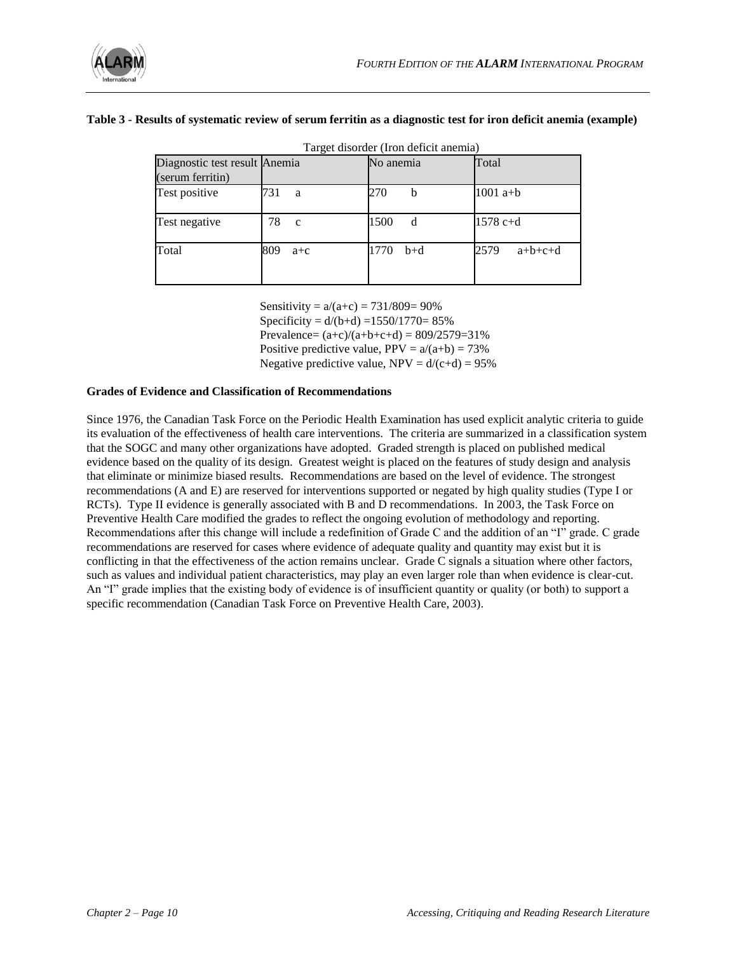

#### **Table 3 - Results of systematic review of serum ferritin as a diagnostic test for iron deficit anemia (example)**

| Target disorder (Iron deficit anemia)             |                    |               |                   |  |
|---------------------------------------------------|--------------------|---------------|-------------------|--|
| Diagnostic test result Anemia<br>(serum ferritin) |                    | No anemia     | Total             |  |
| Test positive                                     | 731<br>a           | 270<br>b      | $1001a+b$         |  |
| Test negative                                     | 78<br>$\mathbf{c}$ | 1500<br>d     | 1578 c+d          |  |
| Total                                             | 809<br>$a + c$     | 1770<br>$b+d$ | 2579<br>$a+b+c+d$ |  |

Sensitivity =  $a/(a+c) = 731/809 = 90\%$ 

Specificity =  $d/(b+d)$  =1550/1770= 85% Prevalence=  $(a+c)/(a+b+c+d) = 809/2579=31%$ 

Positive predictive value,  $PPV = a/(a+b) = 73%$ 

Negative predictive value,  $NPV = d/(c+d) = 95\%$ 

#### **Grades of Evidence and Classification of Recommendations**

Since 1976, the Canadian Task Force on the Periodic Health Examination has used explicit analytic criteria to guide its evaluation of the effectiveness of health care interventions. The criteria are summarized in a classification system that the SOGC and many other organizations have adopted. Graded strength is placed on published medical evidence based on the quality of its design. Greatest weight is placed on the features of study design and analysis that eliminate or minimize biased results. Recommendations are based on the level of evidence. The strongest recommendations (A and E) are reserved for interventions supported or negated by high quality studies (Type I or RCTs). Type II evidence is generally associated with B and D recommendations. In 2003, the Task Force on Preventive Health Care modified the grades to reflect the ongoing evolution of methodology and reporting. Recommendations after this change will include a redefinition of Grade C and the addition of an "I" grade. C grade recommendations are reserved for cases where evidence of adequate quality and quantity may exist but it is conflicting in that the effectiveness of the action remains unclear. Grade C signals a situation where other factors, such as values and individual patient characteristics, may play an even larger role than when evidence is clear-cut. An "I" grade implies that the existing body of evidence is of insufficient quantity or quality (or both) to support a specific recommendation (Canadian Task Force on Preventive Health Care, 2003).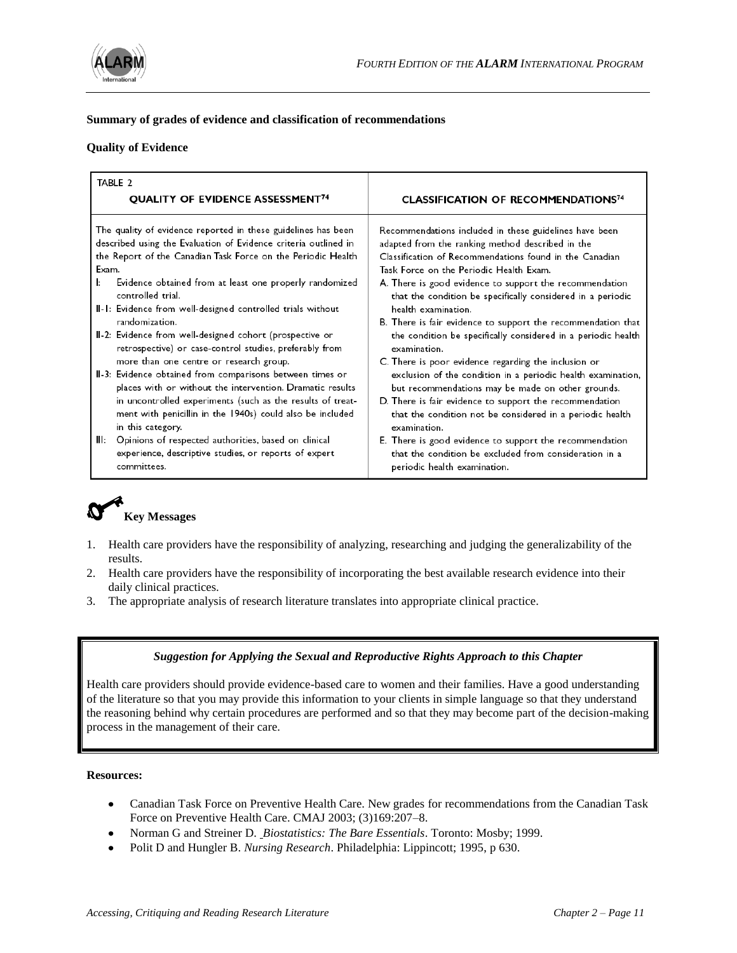

# **Summary of grades of evidence and classification of recommendations**

#### **Quality of Evidence**

| TABLE 2                                                                                                                                                                                                                                                                                                                                                                                                                                                                                                                                                                                                                                                                                                                                    |                                                                                                                                                                                                                                                                                                                                                                                                                                                                                                                                                                                                                                                                                                                                                            |
|--------------------------------------------------------------------------------------------------------------------------------------------------------------------------------------------------------------------------------------------------------------------------------------------------------------------------------------------------------------------------------------------------------------------------------------------------------------------------------------------------------------------------------------------------------------------------------------------------------------------------------------------------------------------------------------------------------------------------------------------|------------------------------------------------------------------------------------------------------------------------------------------------------------------------------------------------------------------------------------------------------------------------------------------------------------------------------------------------------------------------------------------------------------------------------------------------------------------------------------------------------------------------------------------------------------------------------------------------------------------------------------------------------------------------------------------------------------------------------------------------------------|
| <b>QUALITY OF EVIDENCE ASSESSMENT<sup>74</sup></b>                                                                                                                                                                                                                                                                                                                                                                                                                                                                                                                                                                                                                                                                                         | <b>CLASSIFICATION OF RECOMMENDATIONS74</b>                                                                                                                                                                                                                                                                                                                                                                                                                                                                                                                                                                                                                                                                                                                 |
| The quality of evidence reported in these guidelines has been<br>described using the Evaluation of Evidence criteria outlined in<br>the Report of the Canadian Task Force on the Periodic Health<br>Exam.<br>Ŀ.<br>Evidence obtained from at least one properly randomized<br>controlled trial.<br>II-1: Evidence from well-designed controlled trials without<br>randomization.<br>II-2: Evidence from well-designed cohort (prospective or<br>retrospective) or case-control studies, preferably from<br>more than one centre or research group.<br>II-3: Evidence obtained from comparisons between times or<br>places with or without the intervention. Dramatic results<br>in uncontrolled experiments (such as the results of treat- | Recommendations included in these guidelines have been<br>adapted from the ranking method described in the<br>Classification of Recommendations found in the Canadian<br>Task Force on the Periodic Health Exam.<br>A. There is good evidence to support the recommendation<br>that the condition be specifically considered in a periodic<br>health examination.<br>B. There is fair evidence to support the recommendation that<br>the condition be specifically considered in a periodic health<br>examination.<br>C. There is poor evidence regarding the inclusion or<br>exclusion of the condition in a periodic health examination,<br>but recommendations may be made on other grounds.<br>D. There is fair evidence to support the recommendation |
| ment with penicillin in the 1940s) could also be included<br>in this category.                                                                                                                                                                                                                                                                                                                                                                                                                                                                                                                                                                                                                                                             | that the condition not be considered in a periodic health<br>examination.                                                                                                                                                                                                                                                                                                                                                                                                                                                                                                                                                                                                                                                                                  |
| Ш:<br>Opinions of respected authorities, based on clinical<br>experience, descriptive studies, or reports of expert<br>committees.                                                                                                                                                                                                                                                                                                                                                                                                                                                                                                                                                                                                         | E. There is good evidence to support the recommendation<br>that the condition be excluded from consideration in a<br>periodic health examination.                                                                                                                                                                                                                                                                                                                                                                                                                                                                                                                                                                                                          |

# **Key Messages**

- 1. Health care providers have the responsibility of analyzing, researching and judging the generalizability of the results.
- 2. Health care providers have the responsibility of incorporating the best available research evidence into their daily clinical practices.
- 3. The appropriate analysis of research literature translates into appropriate clinical practice.

# *Suggestion for Applying the Sexual and Reproductive Rights Approach to this Chapter*

Health care providers should provide evidence-based care to women and their families. Have a good understanding of the literature so that you may provide this information to your clients in simple language so that they understand the reasoning behind why certain procedures are performed and so that they may become part of the decision-making process in the management of their care.

#### **Resources:**

- Canadian Task Force on Preventive Health Care. New grades for recommendations from the Canadian Task Force on Preventive Health Care. CMAJ 2003; (3)169:207–8.
- Norman G and Streiner D. *Biostatistics: The Bare Essentials*. Toronto: Mosby; 1999.
- Polit D and Hungler B. *Nursing Research*. Philadelphia: Lippincott; 1995, p 630.  $\bullet$